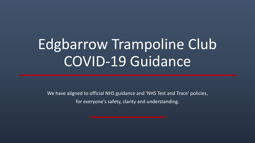# Edgbarrow Trampoline Club COVID-19 Guidance

We have aligned to official NHS guidance and 'NHS Test and Trace' policies, for everyone's safety, clarity and understanding.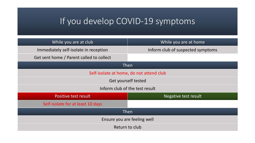## If you develop COVID-19 symptoms

| While you are at club                    | While you are at home             |  |
|------------------------------------------|-----------------------------------|--|
| Immediately self-isolate in reception    | Inform club of suspected symptoms |  |
| Get sent home / Parent called to collect |                                   |  |
| Then                                     |                                   |  |
| Self-isolate at home, do not attend club |                                   |  |
| Get yourself tested                      |                                   |  |
| Inform club of the test result           |                                   |  |
| Positive test result                     | Negative test result              |  |
| Self-isolate for at least 10 days        |                                   |  |
| $ $ Then                                 |                                   |  |
| Ensure you are feeling well              |                                   |  |
| Return to club                           |                                   |  |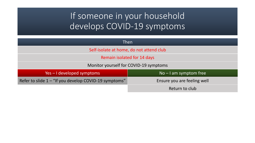### If someone in your household develops COVID-19 symptoms

| <b>Then</b>                                           |                             |
|-------------------------------------------------------|-----------------------------|
| Self-isolate at home, do not attend club              |                             |
| Remain isolated for 14 days                           |                             |
| Monitor yourself for COVID-19 symptoms                |                             |
| Yes - I developed symptoms                            | $No - I$ am symptom free    |
| Refer to slide 1 - "If you develop COVID-19 symptoms" | Ensure you are feeling well |
|                                                       | Return to club              |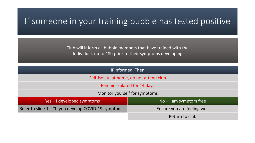#### If someone in your training bubble has tested positive

Club will inform all bubble members that have trained with the Individual, up to 48h prior to their symptoms developing

| If Informed, Then                                     |                             |  |
|-------------------------------------------------------|-----------------------------|--|
| Self-isolate at home, do not attend club              |                             |  |
| Remain isolated for 14 days                           |                             |  |
| Monitor yourself for symptoms                         |                             |  |
| Yes – I developed symptoms                            | $No - I$ am symptom free    |  |
| Refer to slide 1 – "If you develop COVID-19 symptoms" | Ensure you are feeling well |  |
|                                                       | Return to club              |  |